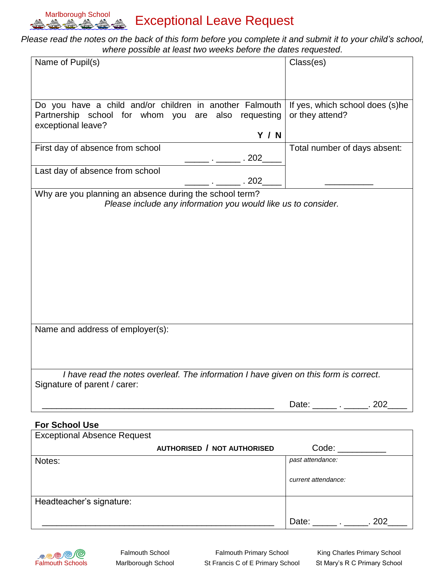

## Marlborough School **Exceptional Leave Request**

## *Please read the notes on the back of this form before you complete it and submit it to your child's school, where possible at least two weeks before the dates requested.*

| Name of Pupil(s)                                                                      | Class(es)                       |  |  |
|---------------------------------------------------------------------------------------|---------------------------------|--|--|
|                                                                                       |                                 |  |  |
|                                                                                       |                                 |  |  |
|                                                                                       |                                 |  |  |
| Do you have a child and/or children in another Falmouth                               | If yes, which school does (s)he |  |  |
| Partnership school for whom you are also requesting<br>exceptional leave?             | or they attend?                 |  |  |
| <b>Y / N</b>                                                                          |                                 |  |  |
| First day of absence from school                                                      | Total number of days absent:    |  |  |
| 202                                                                                   |                                 |  |  |
| Last day of absence from school                                                       |                                 |  |  |
| 202                                                                                   |                                 |  |  |
| Why are you planning an absence during the school term?                               |                                 |  |  |
| Please include any information you would like us to consider.                         |                                 |  |  |
|                                                                                       |                                 |  |  |
|                                                                                       |                                 |  |  |
|                                                                                       |                                 |  |  |
|                                                                                       |                                 |  |  |
|                                                                                       |                                 |  |  |
|                                                                                       |                                 |  |  |
|                                                                                       |                                 |  |  |
|                                                                                       |                                 |  |  |
|                                                                                       |                                 |  |  |
| Name and address of employer(s):                                                      |                                 |  |  |
|                                                                                       |                                 |  |  |
|                                                                                       |                                 |  |  |
|                                                                                       |                                 |  |  |
| I have read the notes overleaf. The information I have given on this form is correct. |                                 |  |  |
| Signature of parent / carer:                                                          |                                 |  |  |
|                                                                                       |                                 |  |  |
|                                                                                       |                                 |  |  |
| <b>For School Use</b>                                                                 |                                 |  |  |
| <b>Exceptional Absence Request</b>                                                    |                                 |  |  |
| AUTHORISED / NOT AUTHORISED                                                           | Code: ___________               |  |  |

|                          | AUTHORISED / NOT AUTHORISED | Code:                                   |
|--------------------------|-----------------------------|-----------------------------------------|
| Notes:                   |                             | past attendance:<br>current attendance: |
| Headteacher's signature: |                             | Date:<br>202                            |